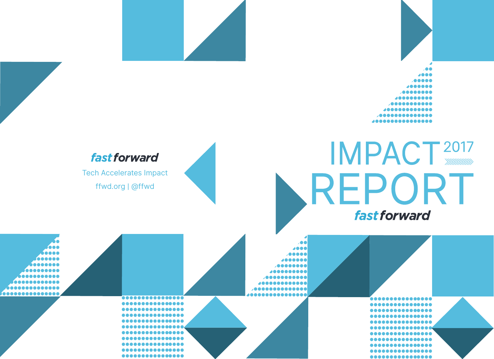

#### fast forward

Tech Accelerates Impact ffwd.org | @ffwd

## **IMPACT 2017** REPORT fast forward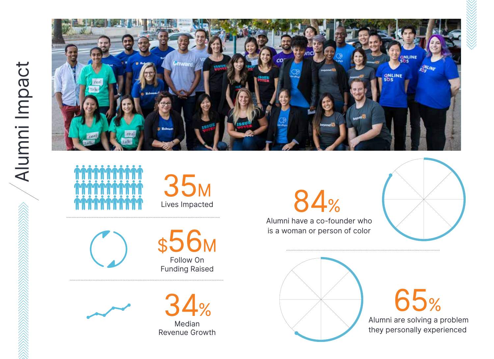



Lives Impacted 35M



Follow On Funding Raised \$56M



Median Revenue Growth

84% Alumni have a co-founder who is a woman or person of color





 Alumni are solving a problem they personally experienced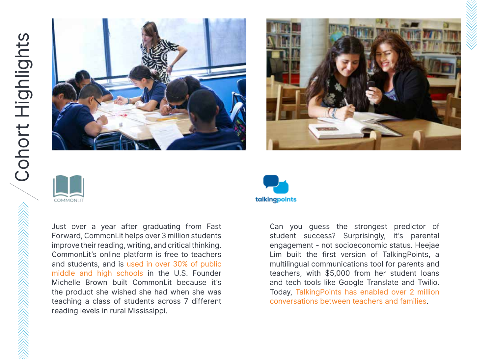





Just over a year after graduating from Fast Forward, CommonLit helps over 3 million students improve their reading, writing, and critical thinking. CommonLit's online platform is free to teachers and students, and is used in over 30% of public middle and high schools in the U.S. Founder Michelle Brown built CommonLit because it's the product she wished she had when she was teaching a class of students across 7 different reading levels in rural Mississippi.



Can you guess the strongest predictor of student success? Surprisingly, it's parental engagement - not socioeconomic status. Heejae Lim built the first version of TalkingPoints, a multilingual communications tool for parents and teachers, with \$5,000 from her student loans and tech tools like Google Translate and Twilio. Today, TalkingPoints has enabled over 2 million conversations between teachers and families.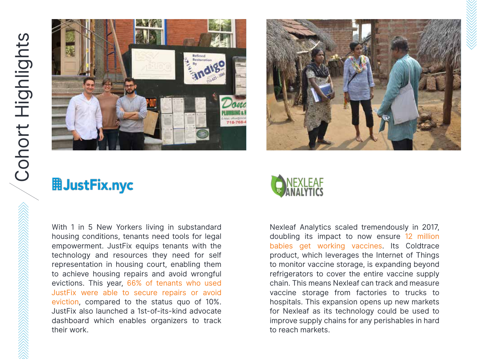



#### **用JustFix.nyc**

With 1 in 5 New Yorkers living in substandard housing conditions, tenants need tools for legal empowerment. JustFix equips tenants with the technology and resources they need for self representation in housing court, enabling them to achieve housing repairs and avoid wrongful evictions. This year, 66% of tenants who used JustFix were able to secure repairs or avoid eviction, compared to the status quo of 10%. JustFix also launched a 1st-of-its-kind advocate dashboard which enables organizers to track their work.

### NEXLEAF<br>ANALYTICS

Nexleaf Analytics scaled tremendously in 2017, doubling its impact to now ensure 12 million babies get working vaccines. Its Coldtrace product, which leverages the Internet of Things to monitor vaccine storage, is expanding beyond refrigerators to cover the entire vaccine supply chain. This means Nexleaf can track and measure vaccine storage from factories to trucks to hospitals. This expansion opens up new markets for Nexleaf as its technology could be used to improve supply chains for any perishables in hard to reach markets.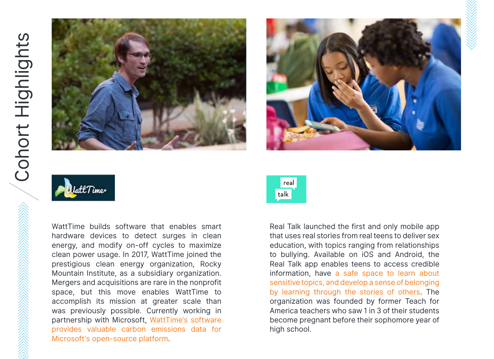





WattTime builds software that enables smart hardware devices to detect surges in clean energy, and modify on-off cycles to maximize clean power usage. In 2017, WattTime joined the prestigious clean energy organization, Rocky Mountain Institute, as a subsidiary organization. Mergers and acquisitions are rare in the nonprofit space, but this move enables WattTime to accomplish its mission at greater scale than was previously possible. Currently working in partnership with Microsoft, WattTime's software provides valuable carbon emissions data for Microsoft's open-source platform.



Real Talk launched the first and only mobile app that uses real stories from real teens to deliver sex education, with topics ranging from relationships to bullying. Available on iOS and Android, the Real Talk app enables teens to access credible information, have a safe space to learn about sensitive topics, and develop a sense of belonging by learning through the stories of others. The organization was founded by former Teach for America teachers who saw 1 in 3 of their students become pregnant before their sophomore year of high school.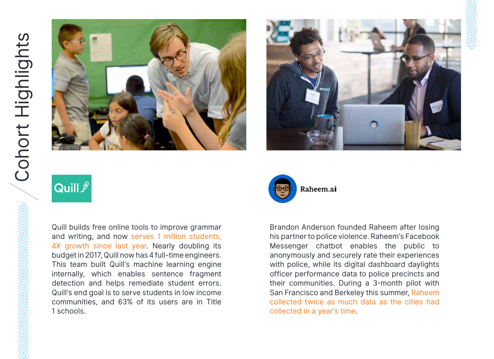



#### Quill  $\ell$

Quill builds free online tools to improve grammar and writing, and now serves 1 million students, 4X growth since last year. Nearly doubling its budget in 2017, Quill now has 4 full-time engineers. This team built Quill's machine learning engine internally, which enables sentence fragment detection and helps remediate student errors. Quill's end goal is to serve students in low income communities, and 63% of its users are in Title 1 schools.



Brandon Anderson founded Raheem after losing his partner to police violence. Raheem's Facebook Messenger chatbot enables the public to anonymously and securely rate their experiences with police, while its digital dashboard daylights officer performance data to police precincts and their communities. During a 3-month pilot with San Francisco and Berkeley this summer, Raheem collected twice as much data as the cities had collected in a year's time.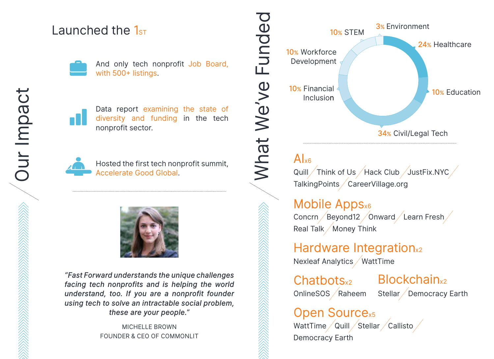#### Launched the  $1<sub>ST</sub>$



And only tech nonprofit Job Board, with 500+ listings.



Data report examining the state of diversity and funding in the tech nonprofit sector.



Hosted the first tech nonprofit summit, Accelerate Good Global.



*"Fast Forward understands the unique challenges facing tech nonprofits and is helping the world understand, too. If you are a nonprofit founder using tech to solve an intractable social problem, these are your people."*

> MICHELLE BROWN FOUNDER & CEO OF COMMONLIT



#### $\mathbf{A}$ <sub>x6</sub>

Quill / Think of Us / Hack Club / JustFix.NYC / TalkingPoints / CareerVillage.org

#### Mobile Appsx6

Concrn Beyond12 Onward Learn Fresh Real Talk / Money Think

Hardware Integration<sub>x2</sub> Nexleaf Analytics / WattTime

OnlineSOS Raheem

Chatbots<sub>x2</sub> Blockchain<sub>x2</sub> Stellar / Democracy Earth

Open Source<sub>x5</sub> WattTime  $\sqrt{\mathsf{Quill}/\mathsf{Stellar}/\mathsf{Callisto}/\mathsf{} }$ Democracy Earth